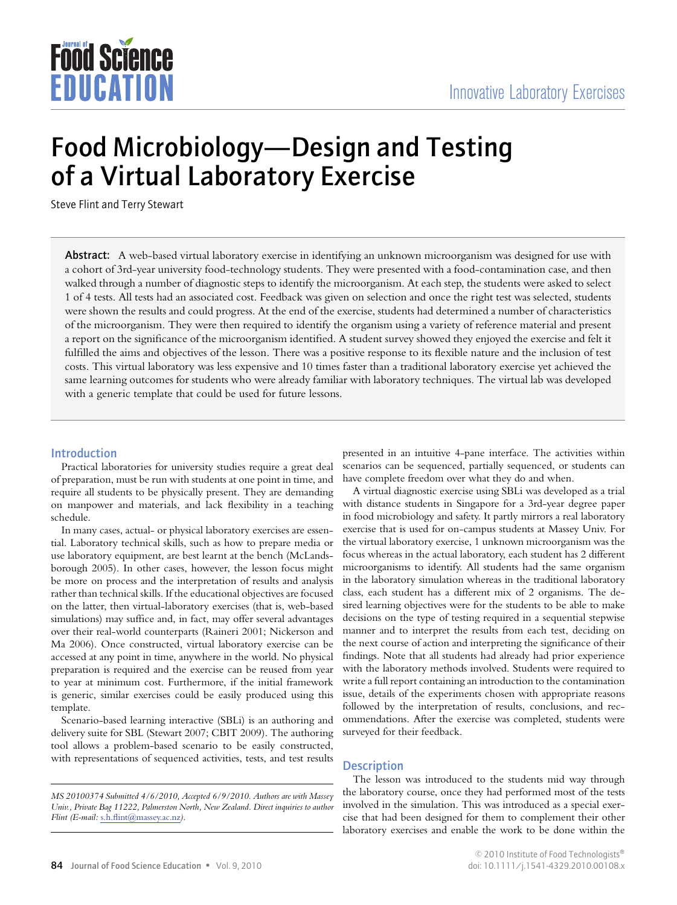



# Food Microbiology—Design and Testing of a Virtual Laboratory Exercise

Steve Flint and Terry Stewart

Abstract: A web-based virtual laboratory exercise in identifying an unknown microorganism was designed for use with a cohort of 3rd-year university food-technology students. They were presented with a food-contamination case, and then walked through a number of diagnostic steps to identify the microorganism. At each step, the students were asked to select 1 of 4 tests. All tests had an associated cost. Feedback was given on selection and once the right test was selected, students were shown the results and could progress. At the end of the exercise, students had determined a number of characteristics of the microorganism. They were then required to identify the organism using a variety of reference material and present a report on the significance of the microorganism identified. A student survey showed they enjoyed the exercise and felt it fulfilled the aims and objectives of the lesson. There was a positive response to its flexible nature and the inclusion of test costs. This virtual laboratory was less expensive and 10 times faster than a traditional laboratory exercise yet achieved the same learning outcomes for students who were already familiar with laboratory techniques. The virtual lab was developed with a generic template that could be used for future lessons.

# Introduction

Practical laboratories for university studies require a great deal of preparation, must be run with students at one point in time, and require all students to be physically present. They are demanding on manpower and materials, and lack flexibility in a teaching schedule.

In many cases, actual- or physical laboratory exercises are essential. Laboratory technical skills, such as how to prepare media or use laboratory equipment, are best learnt at the bench (McLandsborough 2005). In other cases, however, the lesson focus might be more on process and the interpretation of results and analysis rather than technical skills. If the educational objectives are focused on the latter, then virtual-laboratory exercises (that is, web-based simulations) may suffice and, in fact, may offer several advantages over their real-world counterparts (Raineri 2001; Nickerson and Ma 2006). Once constructed, virtual laboratory exercise can be accessed at any point in time, anywhere in the world. No physical preparation is required and the exercise can be reused from year to year at minimum cost. Furthermore, if the initial framework is generic, similar exercises could be easily produced using this template.

Scenario-based learning interactive (SBLi) is an authoring and delivery suite for SBL (Stewart 2007; CBIT 2009). The authoring tool allows a problem-based scenario to be easily constructed, with representations of sequenced activities, tests, and test results

presented in an intuitive 4-pane interface. The activities within scenarios can be sequenced, partially sequenced, or students can have complete freedom over what they do and when.

A virtual diagnostic exercise using SBLi was developed as a trial with distance students in Singapore for a 3rd-year degree paper in food microbiology and safety. It partly mirrors a real laboratory exercise that is used for on-campus students at Massey Univ. For the virtual laboratory exercise, 1 unknown microorganism was the focus whereas in the actual laboratory, each student has 2 different microorganisms to identify. All students had the same organism in the laboratory simulation whereas in the traditional laboratory class, each student has a different mix of 2 organisms. The desired learning objectives were for the students to be able to make decisions on the type of testing required in a sequential stepwise manner and to interpret the results from each test, deciding on the next course of action and interpreting the significance of their findings. Note that all students had already had prior experience with the laboratory methods involved. Students were required to write a full report containing an introduction to the contamination issue, details of the experiments chosen with appropriate reasons followed by the interpretation of results, conclusions, and recommendations. After the exercise was completed, students were surveyed for their feedback.

# **Description**

The lesson was introduced to the students mid way through the laboratory course, once they had performed most of the tests involved in the simulation. This was introduced as a special exercise that had been designed for them to complement their other laboratory exercises and enable the work to be done within the

*MS 20100374 Submitted 4/6/2010, Accepted 6/9/2010. Authors are with Massey Univ., Private Bag 11222, Palmerston North, New Zealand. Direct inquiries to author Flint (E-mail:* s.h.flint@massey.ac.nz*).*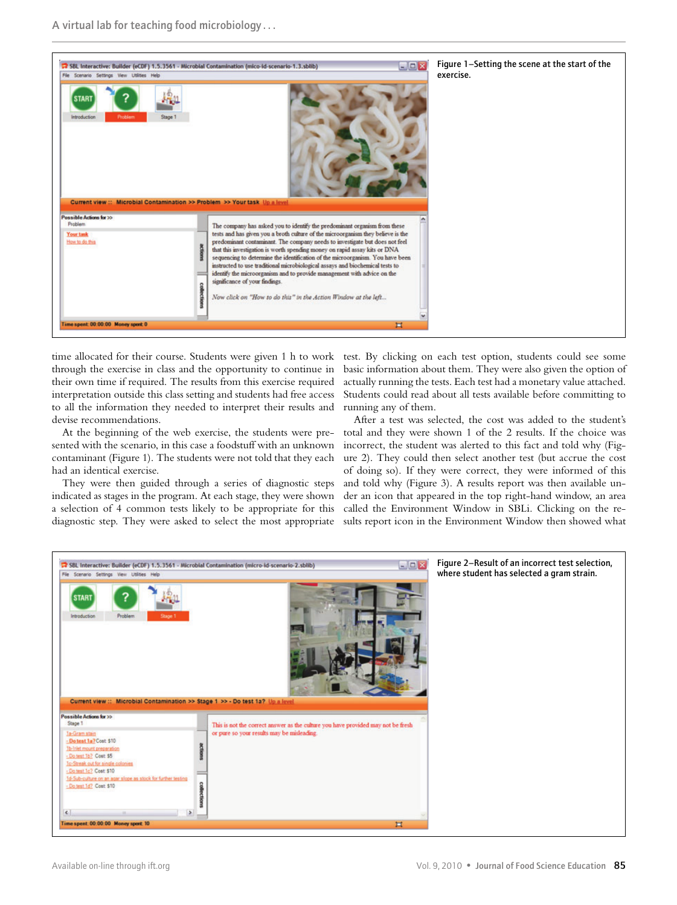

time allocated for their course. Students were given 1 h to work through the exercise in class and the opportunity to continue in their own time if required. The results from this exercise required interpretation outside this class setting and students had free access to all the information they needed to interpret their results and devise recommendations.

At the beginning of the web exercise, the students were presented with the scenario, in this case a foodstuff with an unknown contaminant (Figure 1). The students were not told that they each had an identical exercise.

They were then guided through a series of diagnostic steps indicated as stages in the program. At each stage, they were shown a selection of 4 common tests likely to be appropriate for this diagnostic step. They were asked to select the most appropriate

test. By clicking on each test option, students could see some basic information about them. They were also given the option of actually running the tests. Each test had a monetary value attached. Students could read about all tests available before committing to running any of them.

After a test was selected, the cost was added to the student's total and they were shown 1 of the 2 results. If the choice was incorrect, the student was alerted to this fact and told why (Figure 2). They could then select another test (but accrue the cost of doing so). If they were correct, they were informed of this and told why (Figure 3). A results report was then available under an icon that appeared in the top right-hand window, an area called the Environment Window in SBLi. Clicking on the results report icon in the Environment Window then showed what

| SBL Interactive: Builder (eCDF) 1.5.3561 - Microbial Contamination (micro-id-scenario-2.sblib)<br>File Scenario Settings View Utilities Help<br><b>START</b><br>Problem<br>Stage 1<br>Introduction<br>Current view :: Microbial Contamination >> Stage 1 >> - Do test 1a? Up a level | $\blacksquare \blacksquare \mathsf{X}$                                           | Figure 2-Result of an incorrect test selection,<br>where student has selected a gram strain. |
|--------------------------------------------------------------------------------------------------------------------------------------------------------------------------------------------------------------------------------------------------------------------------------------|----------------------------------------------------------------------------------|----------------------------------------------------------------------------------------------|
| <b>Possible Actions for &gt;&gt;</b><br>Stage 1                                                                                                                                                                                                                                      | This is not the correct answer as the culture you have provided may not be fresh |                                                                                              |
| <b>Ta-Gram stain</b><br>- Do test 1a? Cost \$10                                                                                                                                                                                                                                      | or pure so your results may be misleading.                                       |                                                                                              |
| 1b-Wet mount preparation                                                                                                                                                                                                                                                             |                                                                                  |                                                                                              |
| - Do test 1b? Cost \$5<br>1c-Streak out for single colonies.                                                                                                                                                                                                                         |                                                                                  |                                                                                              |
| - Do test 1c? Cost \$10<br>1d-Sub-culture on an agar slope as stock for further testing                                                                                                                                                                                              |                                                                                  |                                                                                              |
| - Do test 1d? Cost \$10<br>$\leq$<br>$\rightarrow$<br>$\sim$                                                                                                                                                                                                                         |                                                                                  |                                                                                              |
| Time spent: 00:00:00 Money spent: 10                                                                                                                                                                                                                                                 | $\mathbb{H}$                                                                     |                                                                                              |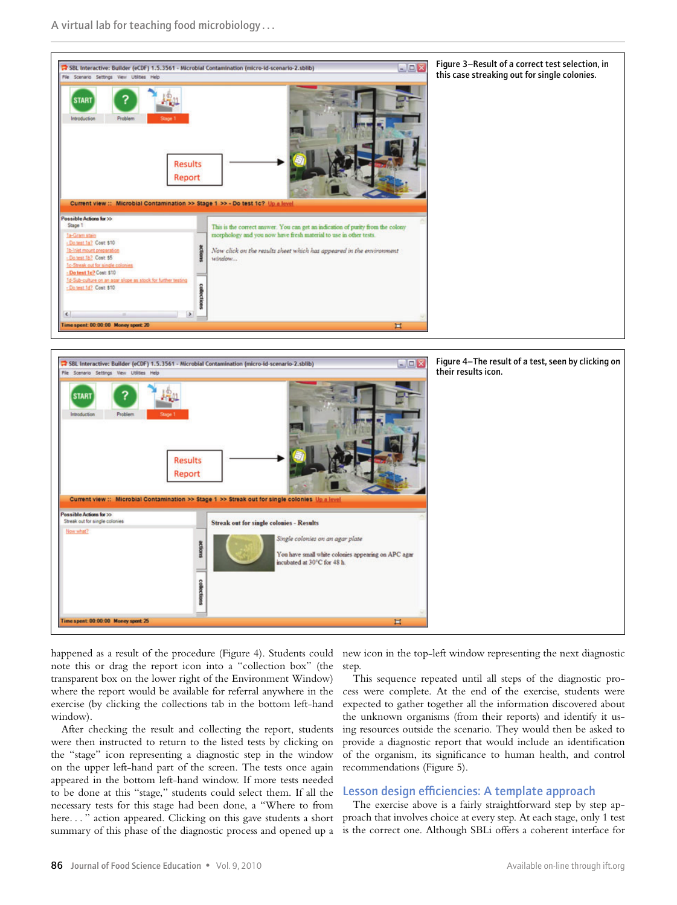



happened as a result of the procedure (Figure 4). Students could note this or drag the report icon into a "collection box" (the transparent box on the lower right of the Environment Window) where the report would be available for referral anywhere in the exercise (by clicking the collections tab in the bottom left-hand window).

After checking the result and collecting the report, students were then instructed to return to the listed tests by clicking on the "stage" icon representing a diagnostic step in the window on the upper left-hand part of the screen. The tests once again appeared in the bottom left-hand window. If more tests needed to be done at this "stage," students could select them. If all the necessary tests for this stage had been done, a "Where to from here. . . " action appeared. Clicking on this gave students a short summary of this phase of the diagnostic process and opened up a

new icon in the top-left window representing the next diagnostic step.

This sequence repeated until all steps of the diagnostic process were complete. At the end of the exercise, students were expected to gather together all the information discovered about the unknown organisms (from their reports) and identify it using resources outside the scenario. They would then be asked to provide a diagnostic report that would include an identification of the organism, its significance to human health, and control recommendations (Figure 5).

# Lesson design efficiencies: A template approach

The exercise above is a fairly straightforward step by step approach that involves choice at every step. At each stage, only 1 test is the correct one. Although SBLi offers a coherent interface for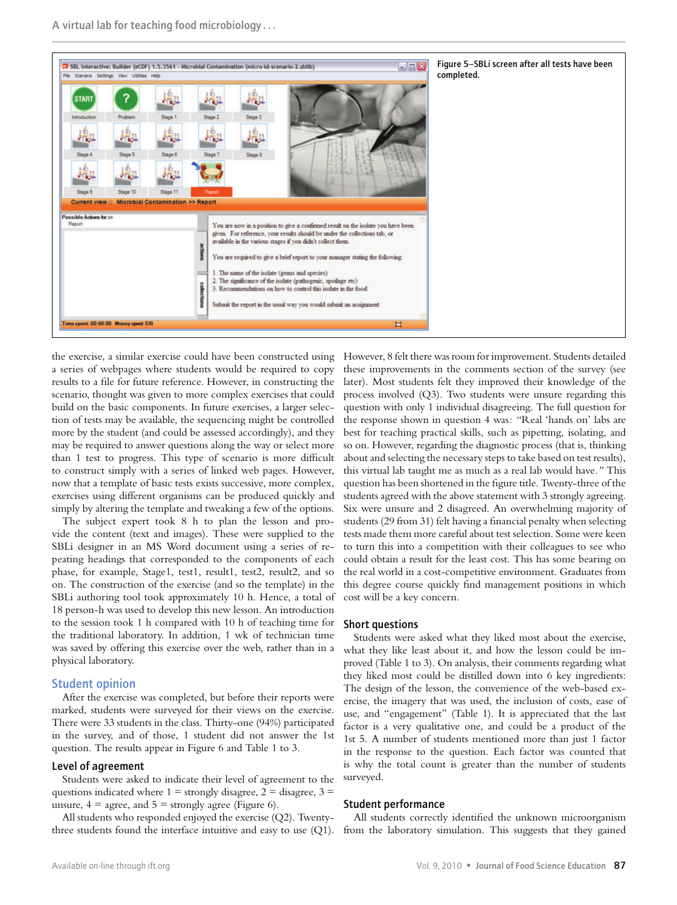

the exercise, a similar exercise could have been constructed using a series of webpages where students would be required to copy results to a file for future reference. However, in constructing the scenario, thought was given to more complex exercises that could build on the basic components. In future exercises, a larger selection of tests may be available, the sequencing might be controlled more by the student (and could be assessed accordingly), and they may be required to answer questions along the way or select more than 1 test to progress. This type of scenario is more difficult to construct simply with a series of linked web pages. However, now that a template of basic tests exists successive, more complex, exercises using different organisms can be produced quickly and simply by altering the template and tweaking a few of the options.

The subject expert took 8 h to plan the lesson and provide the content (text and images). These were supplied to the SBLi designer in an MS Word document using a series of repeating headings that corresponded to the components of each phase, for example, Stage1, test1, result1, test2, result2, and so on. The construction of the exercise (and so the template) in the SBLi authoring tool took approximately 10 h. Hence, a total of 18 person-h was used to develop this new lesson. An introduction to the session took 1 h compared with 10 h of teaching time for the traditional laboratory. In addition, 1 wk of technician time was saved by offering this exercise over the web, rather than in a physical laboratory.

# Student opinion

After the exercise was completed, but before their reports were marked, students were surveyed for their views on the exercise. There were 33 students in the class. Thirty-one (94%) participated in the survey, and of those, 1 student did not answer the 1st question. The results appear in Figure 6 and Table 1 to 3.

## Level of agreement

Students were asked to indicate their level of agreement to the questions indicated where  $1 =$  strongly disagree,  $2 =$  disagree,  $3 =$ unsure,  $4 = \text{agree}$ , and  $5 = \text{strongly agree}$  (Figure 6).

All students who responded enjoyed the exercise (Q2). Twenty-

However, 8 felt there was room for improvement. Students detailed these improvements in the comments section of the survey (see later). Most students felt they improved their knowledge of the process involved (Q3). Two students were unsure regarding this question with only 1 individual disagreeing. The full question for the response shown in question 4 was*: "*Real 'hands on' labs are best for teaching practical skills, such as pipetting, isolating, and so on. However, regarding the diagnostic process (that is, thinking about and selecting the necessary steps to take based on test results), this virtual lab taught me as much as a real lab would have*."* This question has been shortened in the figure title. Twenty-three of the students agreed with the above statement with 3 strongly agreeing. Six were unsure and 2 disagreed. An overwhelming majority of students (29 from 31) felt having a financial penalty when selecting tests made them more careful about test selection. Some were keen to turn this into a competition with their colleagues to see who could obtain a result for the least cost. This has some bearing on the real world in a cost-competitive environment. Graduates from this degree course quickly find management positions in which cost will be a key concern.

#### Short questions

Students were asked what they liked most about the exercise, what they like least about it, and how the lesson could be improved (Table 1 to 3). On analysis, their comments regarding what they liked most could be distilled down into 6 key ingredients: The design of the lesson, the convenience of the web-based exercise, the imagery that was used, the inclusion of costs, ease of use, and "engagement" (Table 1). It is appreciated that the last factor is a very qualitative one, and could be a product of the 1st 5. A number of students mentioned more than just 1 factor in the response to the question. Each factor was counted that is why the total count is greater than the number of students surveyed.

### Student performance

three students found the interface intuitive and easy to use (Q1). from the laboratory simulation. This suggests that they gained All students correctly identified the unknown microorganism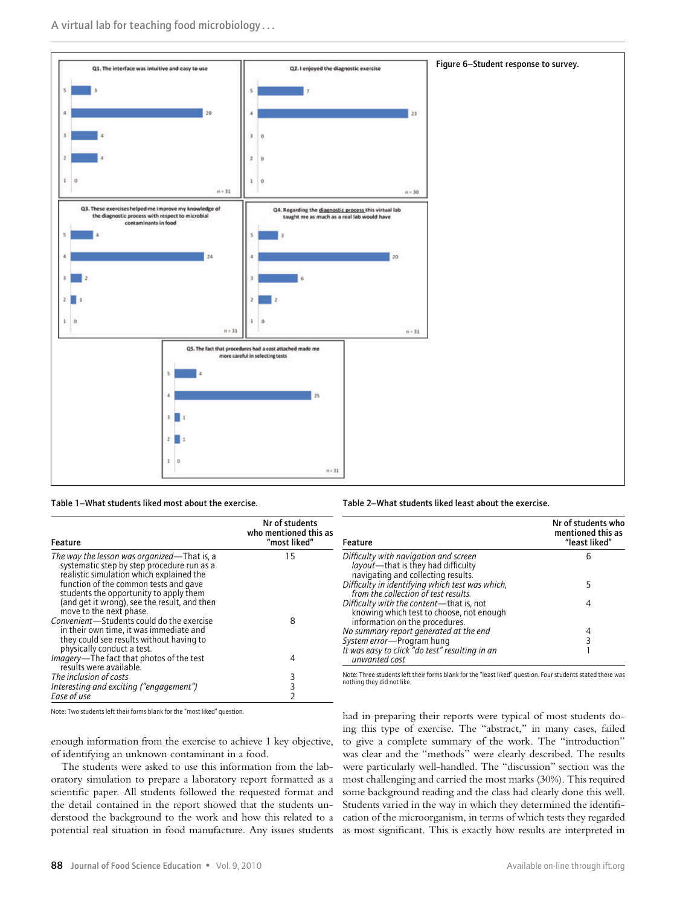

Table 1–What students liked most about the exercise.

| Feature                                                                                                                                                                                                                                                                                             | Nr of students<br>who mentioned this as<br>"most liked" |
|-----------------------------------------------------------------------------------------------------------------------------------------------------------------------------------------------------------------------------------------------------------------------------------------------------|---------------------------------------------------------|
| The way the lesson was organized—That is, a<br>systematic step by step procedure run as a<br>realistic simulation which explained the<br>function of the common tests and gave<br>students the opportunity to apply them<br>(and get it wrong), see the result, and then<br>move to the next phase. | 15                                                      |
| Convenient-Students could do the exercise<br>in their own time, it was immediate and<br>they could see results without having to<br>physically conduct a test.                                                                                                                                      | 8                                                       |
| Imagery-The fact that photos of the test<br>results were available.                                                                                                                                                                                                                                 | 4                                                       |
| The inclusion of costs                                                                                                                                                                                                                                                                              | 3                                                       |
| Interesting and exciting ("engagement")                                                                                                                                                                                                                                                             | 3                                                       |
| Ease of use                                                                                                                                                                                                                                                                                         |                                                         |

Note: Two students left their forms blank for the "most liked" question.

enough information from the exercise to achieve 1 key objective, of identifying an unknown contaminant in a food.

The students were asked to use this information from the laboratory simulation to prepare a laboratory report formatted as a scientific paper. All students followed the requested format and the detail contained in the report showed that the students understood the background to the work and how this related to a potential real situation in food manufacture. Any issues students

#### Table 2–What students liked least about the exercise.

| Feature                                                                                                                | Nr of students who<br>mentioned this as<br>"least liked" |
|------------------------------------------------------------------------------------------------------------------------|----------------------------------------------------------|
| Difficulty with navigation and screen<br>layout—that is they had difficulty<br>navigating and collecting results.      | 6                                                        |
| Difficulty in identifying which test was which,<br>from the collection of test results.                                | 5                                                        |
| Difficulty with the content-that is, not<br>knowing which test to choose, not enough<br>information on the procedures. |                                                          |
| No summary report generated at the end                                                                                 |                                                          |
| System error-Program hung                                                                                              | 3                                                        |
| It was easy to click "do test" resulting in an<br>unwanted cost                                                        |                                                          |

Note: Three students left their forms blank for the "least liked" question. Four students stated there was nothing they did not like.

had in preparing their reports were typical of most students doing this type of exercise. The "abstract," in many cases, failed to give a complete summary of the work. The "introduction" was clear and the "methods" were clearly described. The results were particularly well-handled. The "discussion" section was the most challenging and carried the most marks (30%). This required some background reading and the class had clearly done this well. Students varied in the way in which they determined the identification of the microorganism, in terms of which tests they regarded as most significant. This is exactly how results are interpreted in